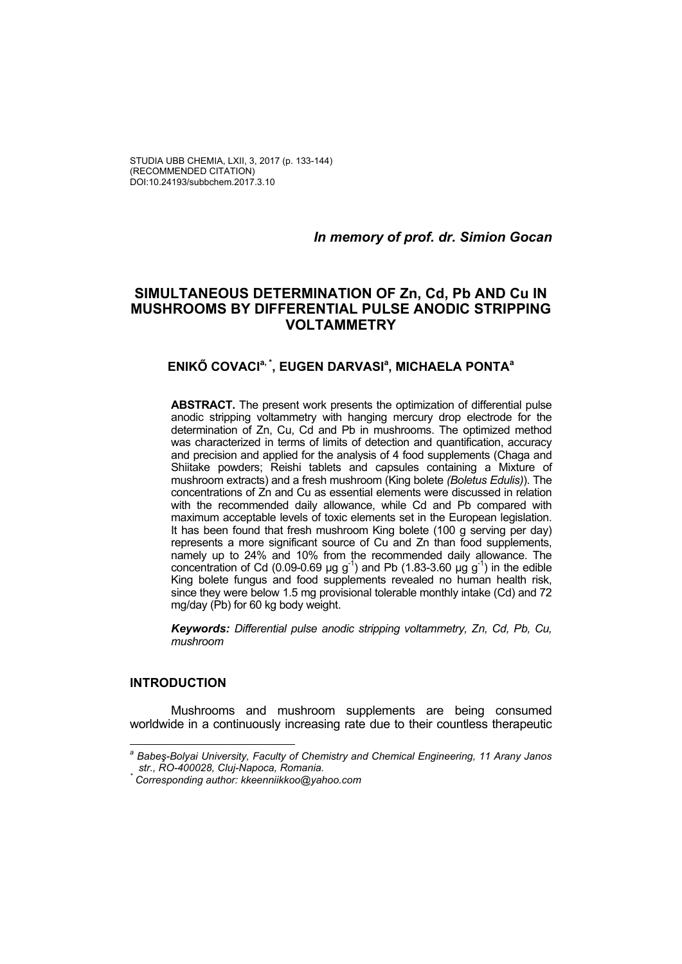STUDIA UBB CHEMIA, LXII, 3, 2017 (p. 133-144) (RECOMMENDED CITATION) DOI:10.24193/subbchem.2017.3.10

*In memory of prof. dr. Simion Gocan* 

# **SIMULTANEOUS DETERMINATION OF Zn, Cd, Pb AND Cu IN MUSHROOMS BY DIFFERENTIAL PULSE ANODIC STRIPPING VOLTAMMETRY**

# **ENIKŐ COVACIa, \*, EUGEN DARVASIa , MICHAELA PONTAa**

**ABSTRACT.** The present work presents the optimization of differential pulse anodic stripping voltammetry with hanging mercury drop electrode for the determination of Zn, Cu, Cd and Pb in mushrooms. The optimized method was characterized in terms of limits of detection and quantification, accuracy and precision and applied for the analysis of 4 food supplements (Chaga and Shiitake powders; Reishi tablets and capsules containing a Mixture of mushroom extracts) and a fresh mushroom (King bolete *(Boletus Edulis)*). The concentrations of Zn and Cu as essential elements were discussed in relation with the recommended daily allowance, while Cd and Pb compared with maximum acceptable levels of toxic elements set in the European legislation. It has been found that fresh mushroom King bolete (100 g serving per day) represents a more significant source of Cu and Zn than food supplements, namely up to 24% and 10% from the recommended daily allowance. The concentration of Cd (0.09-0.69 µg g<sup>-1</sup>) and Pb (1.83-3.60 µg g<sup>-1</sup>) in the edible King bolete fungus and food supplements revealed no human health risk, since they were below 1.5 mg provisional tolerable monthly intake (Cd) and 72 mg/day (Pb) for 60 kg body weight.

*Keywords: Differential pulse anodic stripping voltammetry, Zn, Cd, Pb, Cu, mushroom* 

## **INTRODUCTION**

Mushrooms and mushroom supplements are being consumed worldwide in a continuously increasing rate due to their countless therapeutic

*a Babeş-Bolyai University, Faculty of Chemistry and Chemical Engineering, 11 Arany Janos str., RO-400028, Cluj-Napoca, Romania. \**

*Corresponding author: kkeenniikkoo@yahoo.com*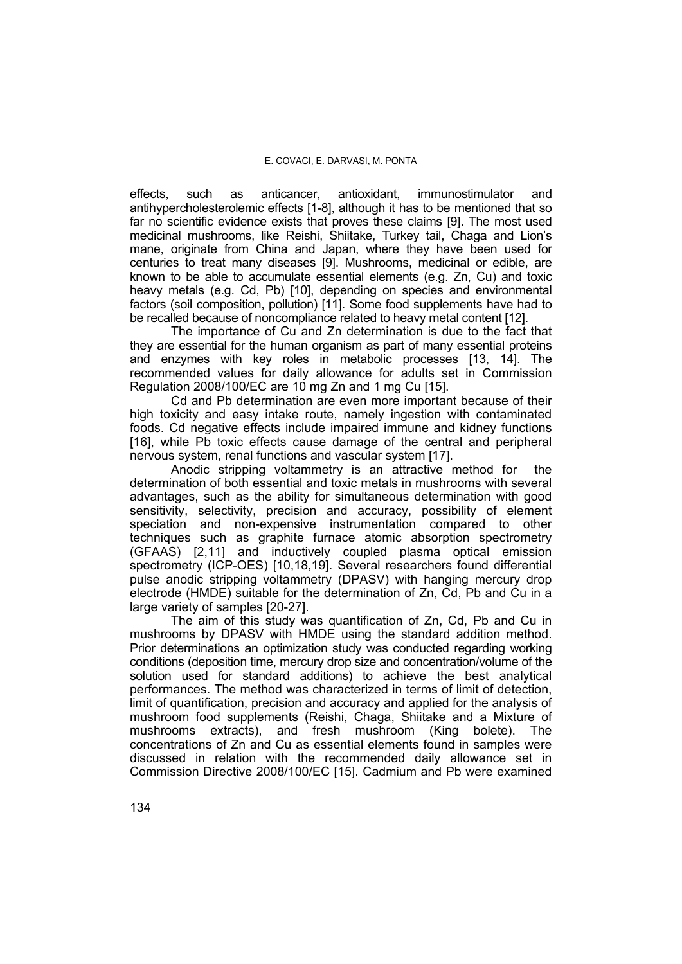effects, such as anticancer, antioxidant, immunostimulator and antihypercholesterolemic effects [1-8], although it has to be mentioned that so far no scientific evidence exists that proves these claims [9]. The most used medicinal mushrooms, like Reishi, Shiitake, Turkey tail, Chaga and Lion's mane, originate from China and Japan, where they have been used for centuries to treat many diseases [9]. Mushrooms, medicinal or edible, are known to be able to accumulate essential elements (e.g. Zn, Cu) and toxic heavy metals (e.g. Cd, Pb) [10], depending on species and environmental factors (soil composition, pollution) [11]. Some food supplements have had to be recalled because of noncompliance related to heavy metal content [12].

The importance of Cu and Zn determination is due to the fact that they are essential for the human organism as part of many essential proteins and enzymes with key roles in metabolic processes [13, 14]. The recommended values for daily allowance for adults set in Commission Regulation 2008/100/EC are 10 mg Zn and 1 mg Cu [15].

Cd and Pb determination are even more important because of their high toxicity and easy intake route, namely ingestion with contaminated foods. Cd negative effects include impaired immune and kidney functions [16], while Pb toxic effects cause damage of the central and peripheral nervous system, renal functions and vascular system [17].

Anodic stripping voltammetry is an attractive method for the determination of both essential and toxic metals in mushrooms with several advantages, such as the ability for simultaneous determination with good sensitivity, selectivity, precision and accuracy, possibility of element speciation and non-expensive instrumentation compared to other techniques such as graphite furnace atomic absorption spectrometry (GFAAS) [2,11] and inductively coupled plasma optical emission spectrometry (ICP-OES) [10,18,19]. Several researchers found differential pulse anodic stripping voltammetry (DPASV) with hanging mercury drop electrode (HMDE) suitable for the determination of Zn, Cd, Pb and Cu in a large variety of samples [20-27].

The aim of this study was quantification of Zn, Cd, Pb and Cu in mushrooms by DPASV with HMDE using the standard addition method. Prior determinations an optimization study was conducted regarding working conditions (deposition time, mercury drop size and concentration/volume of the solution used for standard additions) to achieve the best analytical performances. The method was characterized in terms of limit of detection, limit of quantification, precision and accuracy and applied for the analysis of mushroom food supplements (Reishi, Chaga, Shiitake and a Mixture of mushrooms extracts), and fresh mushroom (King bolete). The concentrations of Zn and Cu as essential elements found in samples were discussed in relation with the recommended daily allowance set in Commission Directive 2008/100/EC [15]. Cadmium and Pb were examined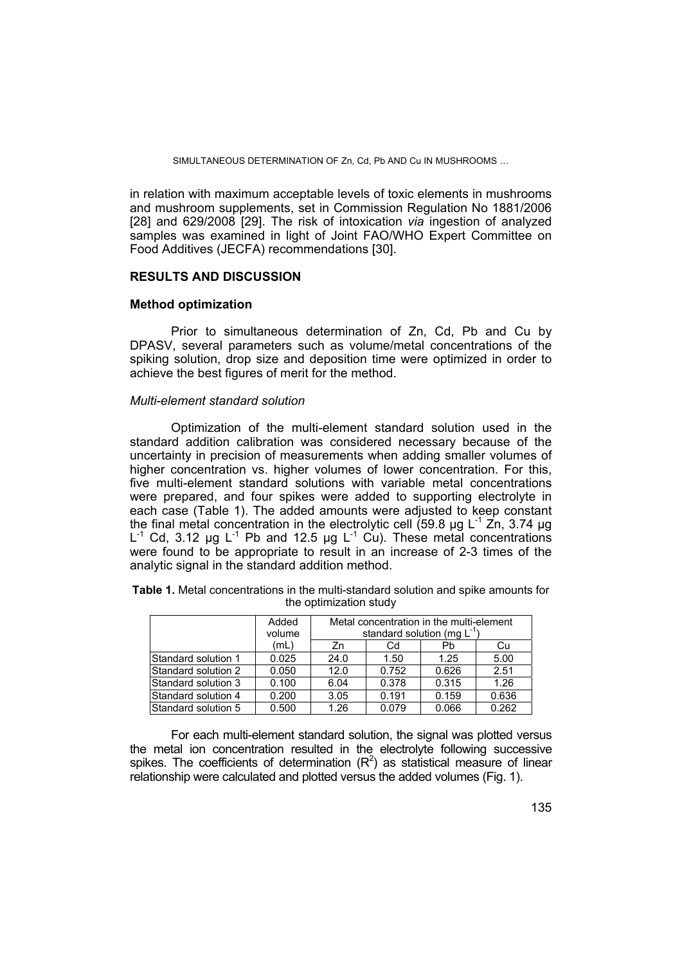SIMULTANEOUS DETERMINATION OF Zn, Cd, Pb AND Cu IN MUSHROOMS ...

in relation with maximum acceptable levels of toxic elements in mushrooms and mushroom supplements, set in Commission Regulation No 1881/2006 [28] and 629/2008 [29]. The risk of intoxication *via* ingestion of analyzed samples was examined in light of Joint FAO/WHO Expert Committee on Food Additives (JECFA) recommendations [30].

## **RESULTS AND DISCUSSION**

#### **Method optimization**

Prior to simultaneous determination of Zn, Cd, Pb and Cu by DPASV, several parameters such as volume/metal concentrations of the spiking solution, drop size and deposition time were optimized in order to achieve the best figures of merit for the method.

### *Multi-element standard solution*

Optimization of the multi-element standard solution used in the standard addition calibration was considered necessary because of the uncertainty in precision of measurements when adding smaller volumes of higher concentration vs. higher volumes of lower concentration. For this, five multi-element standard solutions with variable metal concentrations were prepared, and four spikes were added to supporting electrolyte in each case (Table 1). The added amounts were adjusted to keep constant the final metal concentration in the electrolytic cell (59.8  $\mu$ g L<sup>-1</sup> Zn, 3.74  $\mu$ g L<sup>-1</sup> Cd, 3.12 µg L<sup>-1</sup> Pb and 12.5 µg L<sup>-1</sup> Cu). These metal concentrations were found to be appropriate to result in an increase of 2-3 times of the analytic signal in the standard addition method.

| Table 1. Metal concentrations in the multi-standard solution and spike amounts for |                        |  |  |  |
|------------------------------------------------------------------------------------|------------------------|--|--|--|
|                                                                                    | the optimization study |  |  |  |

|                      | Added<br>volume | Metal concentration in the multi-element<br>standard solution (mg $L^{-1}$ ) |       |       |       |  |  |
|----------------------|-----------------|------------------------------------------------------------------------------|-------|-------|-------|--|--|
|                      | (mL)            | Zn                                                                           | Cd    | Pb    | Cu    |  |  |
| Standard solution 1  | 0.025           | 24.0                                                                         | 1.50  | 1.25  | 5.00  |  |  |
| Standard solution 2  | 0.050           | 12.0                                                                         | 0.752 | 0.626 | 2.51  |  |  |
| Standard solution 3  | 0.100           | 6.04                                                                         | 0.378 | 0.315 | 1.26  |  |  |
| Standard solution 4  | 0.200           | 3.05                                                                         | 0.191 | 0.159 | 0.636 |  |  |
| lStandard solution 5 | 0.500           | 1.26                                                                         | 0.079 | 0.066 | 0.262 |  |  |

For each multi-element standard solution, the signal was plotted versus the metal ion concentration resulted in the electrolyte following successive spikes. The coefficients of determination  $(R^2)$  as statistical measure of linear relationship were calculated and plotted versus the added volumes (Fig. 1).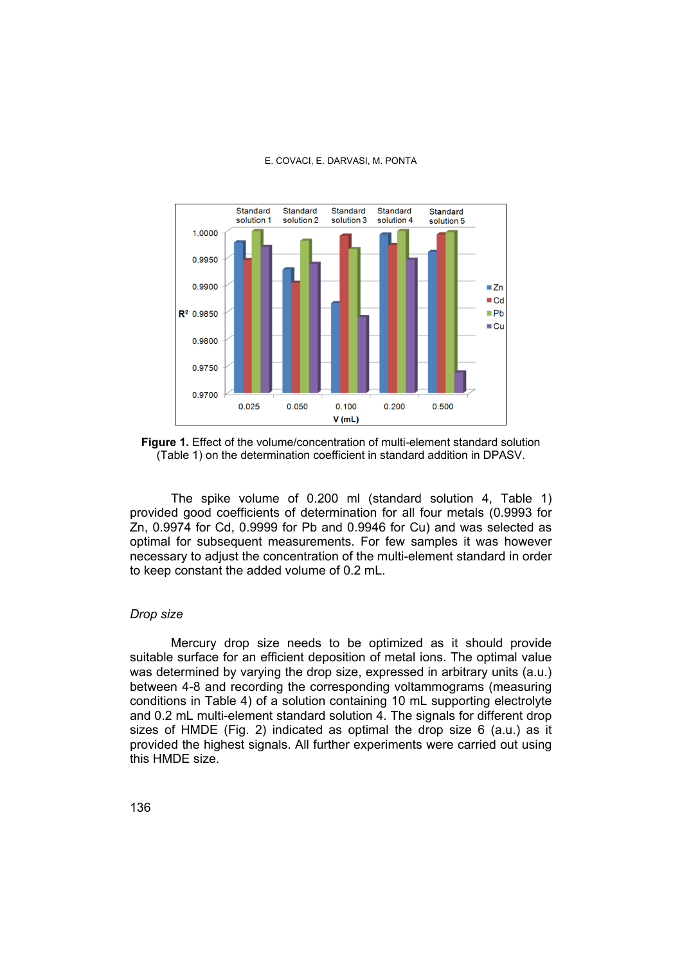

**Figure 1.** Effect of the volume/concentration of multi-element standard solution (Table 1) on the determination coefficient in standard addition in DPASV.

The spike volume of 0.200 ml (standard solution 4, Table 1) provided good coefficients of determination for all four metals (0.9993 for Zn, 0.9974 for Cd, 0.9999 for Pb and 0.9946 for Cu) and was selected as optimal for subsequent measurements. For few samples it was however necessary to adjust the concentration of the multi-element standard in order to keep constant the added volume of 0.2 mL.

## *Drop size*

Mercury drop size needs to be optimized as it should provide suitable surface for an efficient deposition of metal ions. The optimal value was determined by varying the drop size, expressed in arbitrary units (a.u.) between 4-8 and recording the corresponding voltammograms (measuring conditions in Table 4) of a solution containing 10 mL supporting electrolyte and 0.2 mL multi-element standard solution 4. The signals for different drop sizes of HMDE (Fig. 2) indicated as optimal the drop size 6 (a.u.) as it provided the highest signals. All further experiments were carried out using this HMDE size.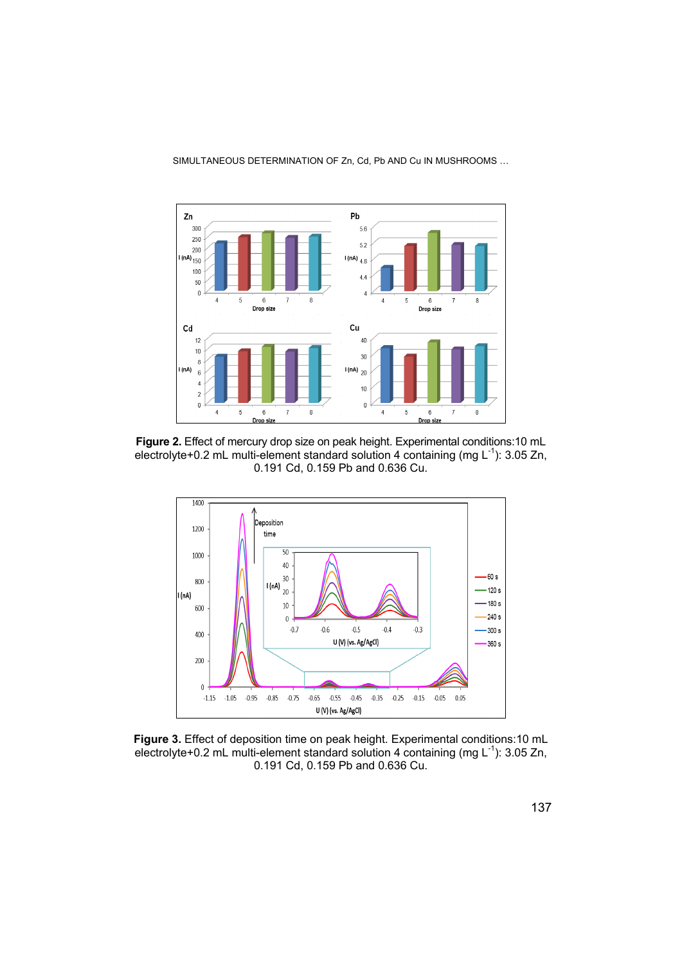

SIMULTANEOUS DETERMINATION OF Zn, Cd, Pb AND Cu IN MUSHROOMS …

**Figure 2.** Effect of mercury drop size on peak height. Experimental conditions:10 mL electrolyte+0.2 mL multi-element standard solution 4 containing (mg  $L^{-1}$ ): 3.05 Zn, 0.191 Cd, 0.159 Pb and 0.636 Cu.



**Figure 3.** Effect of deposition time on peak height. Experimental conditions:10 mL electrolyte+0.2 mL multi-element standard solution 4 containing (mg  $L^{-1}$ ): 3.05 Zn, 0.191 Cd, 0.159 Pb and 0.636 Cu.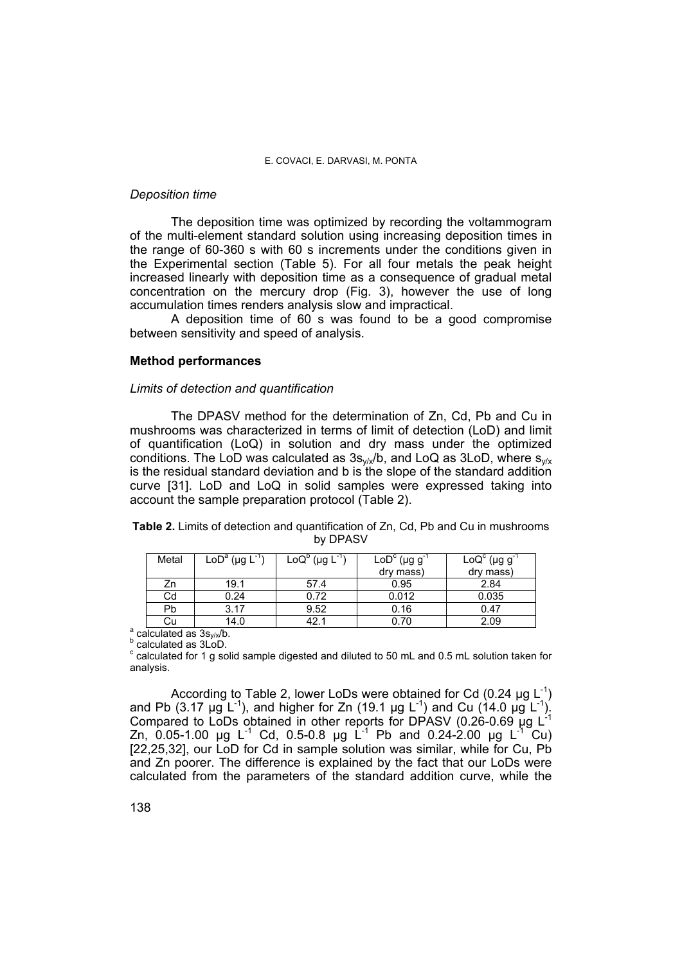### *Deposition time*

The deposition time was optimized by recording the voltammogram of the multi-element standard solution using increasing deposition times in the range of 60-360 s with 60 s increments under the conditions given in the Experimental section (Table 5). For all four metals the peak height increased linearly with deposition time as a consequence of gradual metal concentration on the mercury drop (Fig. 3), however the use of long accumulation times renders analysis slow and impractical.

A deposition time of 60 s was found to be a good compromise between sensitivity and speed of analysis.

## **Method performances**

#### *Limits of detection and quantification*

The DPASV method for the determination of Zn, Cd, Pb and Cu in mushrooms was characterized in terms of limit of detection (LoD) and limit of quantification (LoQ) in solution and dry mass under the optimized conditions. The LoD was calculated as  $3s_{\nu/x}/b$ , and LoQ as 3LoD, where  $s_{\nu/x}$ is the residual standard deviation and b is the slope of the standard addition curve [31]. LoD and LoQ in solid samples were expressed taking into account the sample preparation protocol (Table 2).

|  |  | <b>Table 2.</b> Limits of detection and quantification of Zn, Cd, Pb and Cu in mushrooms |  |  |  |
|--|--|------------------------------------------------------------------------------------------|--|--|--|
|  |  | by DPASV                                                                                 |  |  |  |

| Metal                                      | $\mathsf{LoD}^{\mathsf{a}}$ (µg $\mathsf{L}^{\mathsf{a}}$ | $\text{LoQ}^{\text{D}}$ (µg $\text{L}^{\text{-}}$ | $\mathsf{LoD}^c$ (µg g <sup>-</sup><br>dry mass) | $\text{LoQ}^c$ (µg g<br>dry mass) |
|--------------------------------------------|-----------------------------------------------------------|---------------------------------------------------|--------------------------------------------------|-----------------------------------|
| Zn                                         | 19.1                                                      | 57.4                                              | 0.95                                             | 2.84                              |
| Cd                                         | 0.24                                                      | 0.72                                              | 0.012                                            | 0.035                             |
| Pb                                         | 3.17                                                      | 9.52                                              | 0.16                                             | 0.47                              |
| Cu                                         | 14.0                                                      | 42.1                                              | 0.70                                             | 2.09                              |
| $\frac{1}{2}$ coloured as $2e^{-\sqrt{h}}$ |                                                           |                                                   |                                                  |                                   |

 $\sigma^a$  calculated as 3s<sub>y/x</sub>/b.<br>b coloulated as 3LoD

**b** calculated as 3LoD.

 $\textdegree$  calculated for 1 g solid sample digested and diluted to 50 mL and 0.5 mL solution taken for analysis.

According to Table 2, lower LoDs were obtained for Cd  $(0.24 \mu g L^{-1})$ and Pb (3.17 µg L<sup>-1</sup>), and higher for Zn (19.1 µg L<sup>-1</sup>) and Cu (14.0 µg L<sup>-1</sup>). Compared to LoDs obtained in other reports for DPASV (0.26-0.69  $\mu$ g L<sup>-1</sup> Zn, 0.05-1.00 ug L<sup>-1</sup> Cd, 0.5-0.8 ug L<sup>-1</sup> Pb and 0.24-2.00 ug L<sup>-1</sup> Cu) [22,25,32], our LoD for Cd in sample solution was similar, while for Cu, Pb and Zn poorer. The difference is explained by the fact that our LoDs were calculated from the parameters of the standard addition curve, while the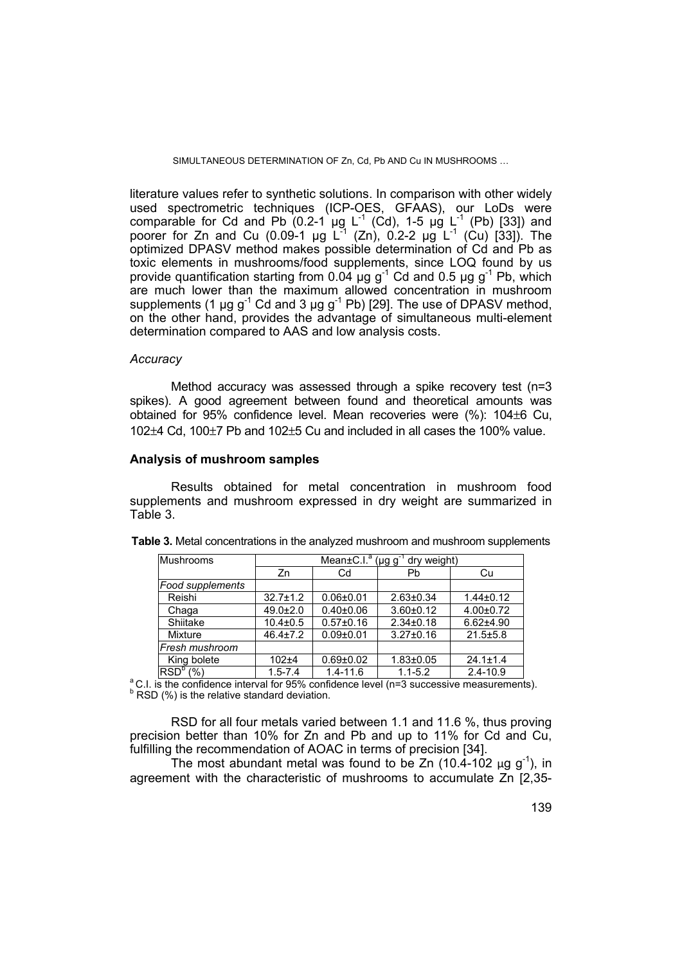SIMULTANEOUS DETERMINATION OF Zn, Cd, Pb AND Cu IN MUSHROOMS ...

literature values refer to synthetic solutions. In comparison with other widely used spectrometric techniques (ICP-OES, GFAAS), our LoDs were comparable for Cd and Pb  $(0.2-1)$  ug L<sup>-1</sup> (Cd), 1-5 ug L<sup>-1</sup> (Pb) [33]) and poorer for Zn and Cu (0.09-1 µg  $L^{\frac{1}{2}}$  (Zn), 0.2-2 µg  $L^{\frac{1}{2}}$  (Cu) [33]). The optimized DPASV method makes possible determination of Cd and Pb as toxic elements in mushrooms/food supplements, since LOQ found by us provide quantification starting from  $0.04 \mu g g^{-1}$  Cd and  $0.5 \mu g g^{-1}$  Pb, which are much lower than the maximum allowed concentration in mushroom supplements (1 µg  $g^{-1}$  Cd and 3 µg  $g^{-1}$  Pb) [29]. The use of DPASV method, on the other hand, provides the advantage of simultaneous multi-element determination compared to AAS and low analysis costs.

## *Accuracy*

 Method accuracy was assessed through a spike recovery test (n=3 spikes). A good agreement between found and theoretical amounts was obtained for 95% confidence level. Mean recoveries were  $(\%)$ : 104 $\pm$ 6 Cu, 102 $\pm$ 4 Cd, 100 $\pm$ 7 Pb and 102 $\pm$ 5 Cu and included in all cases the 100% value.

## **Analysis of mushroom samples**

Results obtained for metal concentration in mushroom food supplements and mushroom expressed in dry weight are summarized in Table 3.

| Mushrooms            | Mean±C.I. <sup>a</sup> (µg g <sup>-1</sup> dry weight) |                 |                 |                 |  |  |  |
|----------------------|--------------------------------------------------------|-----------------|-----------------|-----------------|--|--|--|
|                      | Zn                                                     | Cd              | Pb              | Cu              |  |  |  |
| Food supplements     |                                                        |                 |                 |                 |  |  |  |
| Reishi               | $32.7 \pm 1.2$                                         | $0.06 + 0.01$   | $2.63 \pm 0.34$ | $1.44 \pm 0.12$ |  |  |  |
| Chaga                | $49.0 \pm 2.0$                                         | $0.40 \pm 0.06$ | $3.60 + 0.12$   | $4.00 \pm 0.72$ |  |  |  |
| Shiitake             | $10.4 \pm 0.5$                                         | $0.57 \pm 0.16$ | $2.34 \pm 0.18$ | $6.62{\pm}4.90$ |  |  |  |
| Mixture              | $46.4 \pm 7.2$                                         | $0.09 + 0.01$   | $3.27 \pm 0.16$ | $21.5 \pm 5.8$  |  |  |  |
| Fresh mushroom       |                                                        |                 |                 |                 |  |  |  |
| King bolete          | $102 + 4$                                              | $0.69 + 0.02$   | $1.83 + 0.05$   | $24.1 \pm 1.4$  |  |  |  |
| RSD <sup>b</sup> (%) | $1.5 - 7.4$                                            | $1.4 - 11.6$    | $1.1 - 5.2$     | $2.4 - 10.9$    |  |  |  |

| <b>Table 3.</b> Metal concentrations in the analyzed mushroom and mushroom supplements |  |  |
|----------------------------------------------------------------------------------------|--|--|
|                                                                                        |  |  |

 $\degree$  C.I. is the confidence interval for 95% confidence level (n=3 successive measurements).  $<sup>b</sup>$  RSD (%) is the relative standard deviation.</sup>

RSD for all four metals varied between 1.1 and 11.6 %, thus proving precision better than 10% for Zn and Pb and up to 11% for Cd and Cu, fulfilling the recommendation of AOAC in terms of precision [34].

The most abundant metal was found to be Zn (10.4-102  $\mu$ g g<sup>-1</sup>), in agreement with the characteristic of mushrooms to accumulate Zn [2,35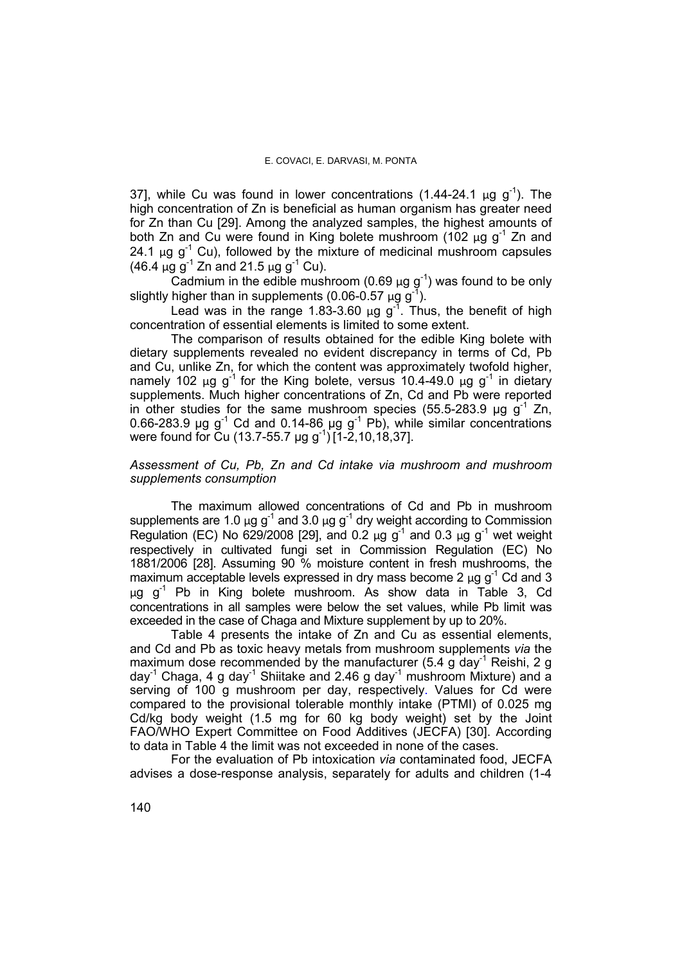37], while Cu was found in lower concentrations  $(1.44-24.1 \mu g g^{-1})$ . The high concentration of Zn is beneficial as human organism has greater need for Zn than Cu [29]. Among the analyzed samples, the highest amounts of both Zn and Cu were found in King bolete mushroom (102  $\mu$ g g<sup>-1</sup> Zn and 24.1  $\mu$ g g<sup>-1</sup> Cu), followed by the mixture of medicinal mushroom capsules (46.4  $\mu$ g g<sup>-1</sup> Zn and 21.5  $\mu$ g g<sup>-1</sup> Cu).

Cadmium in the edible mushroom (0.69  $\mu$ g g<sup>-1</sup>) was found to be only slightly higher than in supplements (0.06-0.57  $\mu$ g g<sup>-1</sup>).

Lead was in the range 1.83-3.60  $\mu$ g g<sup>-1</sup>. Thus, the benefit of high concentration of essential elements is limited to some extent.

The comparison of results obtained for the edible King bolete with dietary supplements revealed no evident discrepancy in terms of Cd, Pb and Cu, unlike Zn, for which the content was approximately twofold higher, namely 102 μg g<sup>-1</sup> for the King bolete, versus 10.4-49.0 μg g<sup>-1</sup> in dietary supplements. Much higher concentrations of Zn, Cd and Pb were reported in other studies for the same mushroom species (55.5-283.9 μg  $g^{-1}$  Zn, 0.66-283.9 μg g<sup>-1</sup> Cd and 0.14-86 μg g<sup>-1</sup> Pb), while similar concentrations were found for Cu (13.7-55.7 µg g<sup>-1</sup>) [1-2,10,18,37].

## *Assessment of Cu, Pb, Zn and Cd intake via mushroom and mushroom supplements consumption*

The maximum allowed concentrations of Cd and Pb in mushroom supplements are 1.0  $\mu$ g g<sup>-1</sup> and 3.0  $\mu$ g g<sup>-1</sup> dry weight according to Commission Regulation (EC) No 629/2008 [29], and 0.2  $\mu$ g g<sup>-1</sup> and 0.3  $\mu$ g g<sup>-1</sup> wet weight respectively in cultivated fungi set in Commission Regulation (EC) No 1881/2006 [28]. Assuming 90 % moisture content in fresh mushrooms, the maximum acceptable levels expressed in dry mass become 2  $\mu$ g g<sup>-1</sup> Cd and 3 μg g-1 Pb in King bolete mushroom. As show data in Table 3, Cd concentrations in all samples were below the set values, while Pb limit was exceeded in the case of Chaga and Mixture supplement by up to 20%.

Table 4 presents the intake of Zn and Cu as essential elements, and Cd and Pb as toxic heavy metals from mushroom supplements *via* the maximum dose recommended by the manufacturer (5.4 g day<sup>-1</sup> Reishi, 2 g day<sup>-1</sup> Chaga, 4 g day<sup>-1</sup> Shiitake and 2.46 g day<sup>-1</sup> mushroom Mixture) and a serving of 100 g mushroom per day, respectively. Values for Cd were compared to the provisional tolerable monthly intake (PTMI) of 0.025 mg Cd/kg body weight (1.5 mg for 60 kg body weight) set by the Joint FAO/WHO Expert Committee on Food Additives (JECFA) [30]. According to data in Table 4 the limit was not exceeded in none of the cases.

For the evaluation of Pb intoxication *via* contaminated food, JECFA advises a dose-response analysis, separately for adults and children (1-4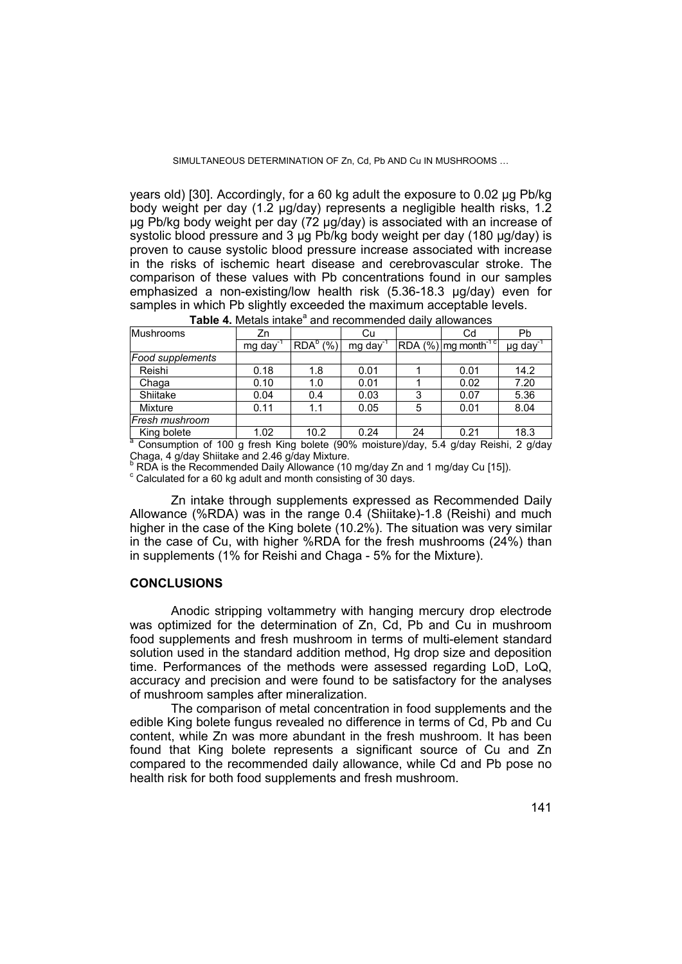SIMULTANEOUS DETERMINATION OF Zn, Cd, Pb AND Cu IN MUSHROOMS

years old) [30]. Accordingly, for a 60 kg adult the exposure to 0.02 μg Pb/kg body weight per day (1.2 μg/day) represents a negligible health risks, 1.2 μg Pb/kg body weight per day (72 μg/day) is associated with an increase of systolic blood pressure and 3 μg Pb/kg body weight per day (180 μg/day) is proven to cause systolic blood pressure increase associated with increase in the risks of ischemic heart disease and cerebrovascular stroke. The comparison of these values with Pb concentrations found in our samples emphasized a non-existing/low health risk (5.36-18.3 μg/day) even for samples in which Pb slightly exceeded the maximum acceptable levels.

| Mushrooms                                                                                 | Zn                      |                      | Cu                   |    | Cd                                 | Pb                        |
|-------------------------------------------------------------------------------------------|-------------------------|----------------------|----------------------|----|------------------------------------|---------------------------|
|                                                                                           | $mg \, \text{day}^{-1}$ | RDA <sup>b</sup> (%) | mg day <sup>-1</sup> |    | $RDA$ (%) mg month <sup>-1 c</sup> | $\mu$ g day <sup>-1</sup> |
| Food supplements                                                                          |                         |                      |                      |    |                                    |                           |
| Reishi                                                                                    | 0.18                    | 1.8                  | 0.01                 |    | 0.01                               | 14.2                      |
| Chaga                                                                                     | 0.10                    | 1.0                  | 0.01                 |    | 0.02                               | 7.20                      |
| Shiitake                                                                                  | 0.04                    | 0.4                  | 0.03                 | 3  | 0.07                               | 5.36                      |
| Mixture                                                                                   | 0.11                    | 1.1                  | 0.05                 | 5  | 0.01                               | 8.04                      |
| Fresh mushroom                                                                            |                         |                      |                      |    |                                    |                           |
| King bolete                                                                               | 1.02                    | 10.2                 | 0.24                 | 24 | 0.21                               | 18.3                      |
| a<br>Consumption of 100 g fresh King bolete (90% moisture)/day, 5.4 g/day Reishi, 2 g/day |                         |                      |                      |    |                                    |                           |

Table 4. Metals intake<sup>a</sup> and recommended daily allowances

Chaga, 4 g/day Shiitake and 2.46 g/day Mixture.

<sup>b</sup> RDA is the Recommended Daily Allowance (10 mg/day Zn and 1 mg/day Cu [15]).

 $\textdegree$  Calculated for a 60 kg adult and month consisting of 30 days.

Zn intake through supplements expressed as Recommended Daily Allowance (%RDA) was in the range 0.4 (Shiitake)-1.8 (Reishi) and much higher in the case of the King bolete (10.2%). The situation was very similar in the case of Cu, with higher %RDA for the fresh mushrooms (24%) than in supplements (1% for Reishi and Chaga - 5% for the Mixture).

## **CONCLUSIONS**

 Anodic stripping voltammetry with hanging mercury drop electrode was optimized for the determination of Zn, Cd, Pb and Cu in mushroom food supplements and fresh mushroom in terms of multi-element standard solution used in the standard addition method, Hg drop size and deposition time. Performances of the methods were assessed regarding LoD, LoQ, accuracy and precision and were found to be satisfactory for the analyses of mushroom samples after mineralization.

The comparison of metal concentration in food supplements and the edible King bolete fungus revealed no difference in terms of Cd, Pb and Cu content, while Zn was more abundant in the fresh mushroom. It has been found that King bolete represents a significant source of Cu and Zn compared to the recommended daily allowance, while Cd and Pb pose no health risk for both food supplements and fresh mushroom.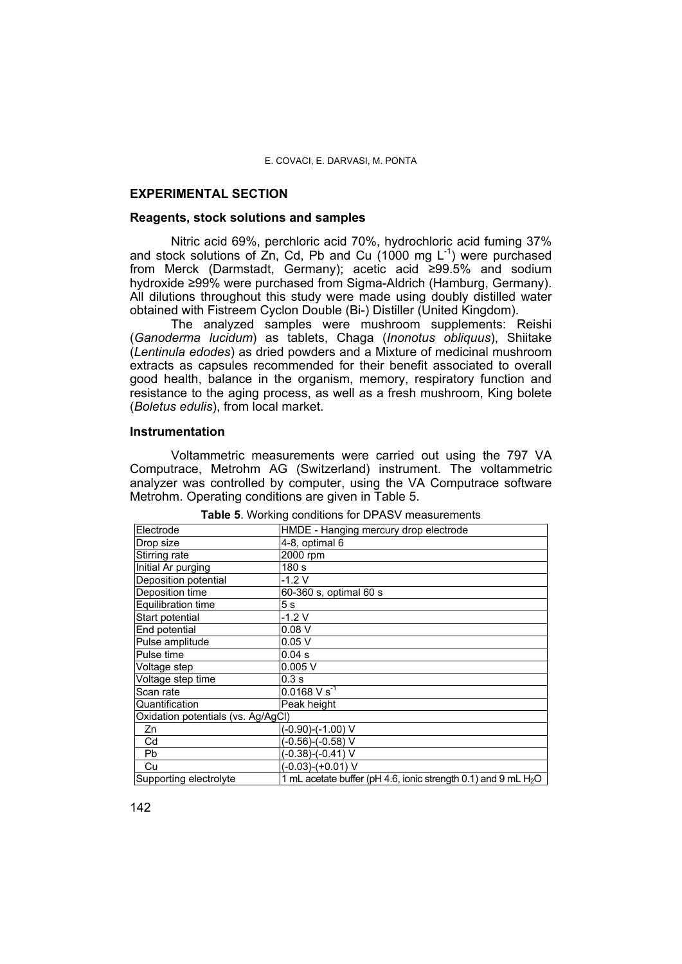## **EXPERIMENTAL SECTION**

### **Reagents, stock solutions and samples**

Nitric acid 69%, perchloric acid 70%, hydrochloric acid fuming 37% and stock solutions of Zn, Cd, Pb and Cu  $(1000 \text{ mg L}^{-1})$  were purchased from Merck (Darmstadt, Germany); acetic acid ≥99.5% and sodium hydroxide ≥99% were purchased from Sigma-Aldrich (Hamburg, Germany). All dilutions throughout this study were made using doubly distilled water obtained with Fistreem Cyclon Double (Bi-) Distiller (United Kingdom).

The analyzed samples were mushroom supplements: Reishi (*Ganoderma lucidum*) as tablets, Chaga (*Inonotus obliquus*), Shiitake (*Lentinula edodes*) as dried powders and a Mixture of medicinal mushroom extracts as capsules recommended for their benefit associated to overall good health, balance in the organism, memory, respiratory function and resistance to the aging process, as well as a fresh mushroom, King bolete (*Boletus edulis*), from local market.

## **Instrumentation**

Voltammetric measurements were carried out using the 797 VA Computrace, Metrohm AG (Switzerland) instrument. The voltammetric analyzer was controlled by computer, using the VA Computrace software Metrohm. Operating conditions are given in Table 5.

| Electrode                          | HMDE - Hanging mercury drop electrode                            |  |  |  |  |  |
|------------------------------------|------------------------------------------------------------------|--|--|--|--|--|
| Drop size                          | 4-8, optimal 6                                                   |  |  |  |  |  |
| Stirring rate                      | 2000 rpm                                                         |  |  |  |  |  |
| Initial Ar purging                 | 180 <sub>s</sub>                                                 |  |  |  |  |  |
| Deposition potential               | $-1.2V$                                                          |  |  |  |  |  |
| Deposition time                    | 60-360 s, optimal 60 s                                           |  |  |  |  |  |
| Equilibration time                 | 5 <sub>s</sub>                                                   |  |  |  |  |  |
| Start potential                    | $-1.2V$                                                          |  |  |  |  |  |
| End potential                      | 0.08V                                                            |  |  |  |  |  |
| Pulse amplitude                    | 0.05V                                                            |  |  |  |  |  |
| Pulse time                         | 0.04 s                                                           |  |  |  |  |  |
| Voltage step                       | 0.005V                                                           |  |  |  |  |  |
| Voltage step time                  | 0.3s                                                             |  |  |  |  |  |
| Scan rate                          | $0.0168 V s^{-1}$                                                |  |  |  |  |  |
| Quantification                     | Peak height                                                      |  |  |  |  |  |
| Oxidation potentials (vs. Ag/AgCl) |                                                                  |  |  |  |  |  |
| Zn                                 | (-0.90)-(-1.00) V                                                |  |  |  |  |  |
| Cd                                 | (-0.56)-(-0.58) V                                                |  |  |  |  |  |
| Pb                                 | (-0.38)-(-0.41) V                                                |  |  |  |  |  |
| Cu                                 | $(-0.03)-(+0.01)$ V                                              |  |  |  |  |  |
| Supporting electrolyte             | 1 mL acetate buffer (pH 4.6, ionic strength 0.1) and 9 mL $H_2O$ |  |  |  |  |  |

**Table 5**. Working conditions for DPASV measurements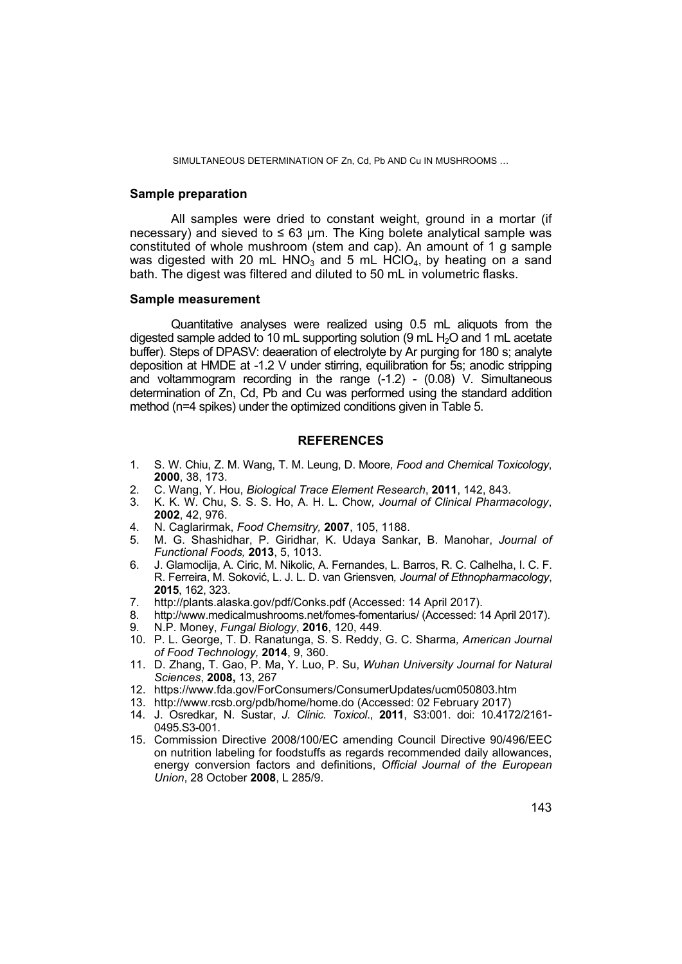SIMULTANEOUS DETERMINATION OF Zn, Cd, Pb AND Cu IN MUSHROOMS ...

## **Sample preparation**

All samples were dried to constant weight, ground in a mortar (if necessary) and sieved to  $\leq 63$  um. The King bolete analytical sample was constituted of whole mushroom (stem and cap). An amount of 1 g sample was digested with 20 mL HNO<sub>3</sub> and 5 mL HClO<sub>4</sub>, by heating on a sand bath. The digest was filtered and diluted to 50 mL in volumetric flasks.

#### **Sample measurement**

Quantitative analyses were realized using 0.5 mL aliquots from the digested sample added to 10 mL supporting solution (9 mL  $H<sub>2</sub>O$  and 1 mL acetate buffer). Steps of DPASV: deaeration of electrolyte by Ar purging for 180 s; analyte deposition at HMDE at -1.2 V under stirring, equilibration for 5s; anodic stripping and voltammogram recording in the range (-1.2) - (0.08) V. Simultaneous determination of Zn, Cd, Pb and Cu was performed using the standard addition method (n=4 spikes) under the optimized conditions given in Table 5.

#### **REFERENCES**

- 1. S. W. Chiu, Z. M. Wang, T. M. Leung, D. Moore*, Food and Chemical Toxicology*, **2000**, 38, 173.
- 2. C. Wang, Y. Hou, *Biological Trace Element Research*, **2011**, 142, 843.
- 3. K. K. W. Chu, S. S. S. Ho, A. H. L. Chow*, Journal of Clinical Pharmacology*, **2002**, 42, 976.
- 4. N. Caglarirmak, *Food Chemsitry,* **2007**, 105, 1188.
- 5. M. G. Shashidhar, P. Giridhar, K. Udaya Sankar, B. Manohar, *Journal of Functional Foods,* **2013**, 5, 1013.
- 6. J. Glamoclija, A. Ciric, M. Nikolic, A. Fernandes, L. Barros, R. C. Calhelha, I. C. F. R. Ferreira, M. Soković, L. J. L. D. van Griensven*, Journal of Ethnopharmacology*, **2015**, 162, 323.
- 7. http://plants.alaska.gov/pdf/Conks.pdf (Accessed: 14 April 2017).
- 8. http://www.medicalmushrooms.net/fomes-fomentarius/ (Accessed: 14 April 2017).
- 9. N.P. Money, *Fungal Biology*, **2016**, 120, 449.
- 10. P. L. George, T. D. Ranatunga, S. S. Reddy, G. C. Sharma*, American Journal of Food Technology,* **2014**, 9, 360.
- 11. D. Zhang, T. Gao, P. Ma, Y. Luo, P. Su, *Wuhan University Journal for Natural Sciences*, **2008,** 13, 267
- 12. https://www.fda.gov/ForConsumers/ConsumerUpdates/ucm050803.htm
- 13. http://www.rcsb.org/pdb/home/home.do (Accessed: 02 February 2017)
- 14. J. Osredkar, N. Sustar, *J. Clinic. Toxicol*., **2011**, S3:001. doi: 10.4172/2161- 0495.S3-001.
- 15. Commission Directive 2008/100/EC amending Council Directive 90/496/EEC on nutrition labeling for foodstuffs as regards recommended daily allowances, energy conversion factors and definitions, *Official Journal of the European Union*, 28 October **2008**, L 285/9.